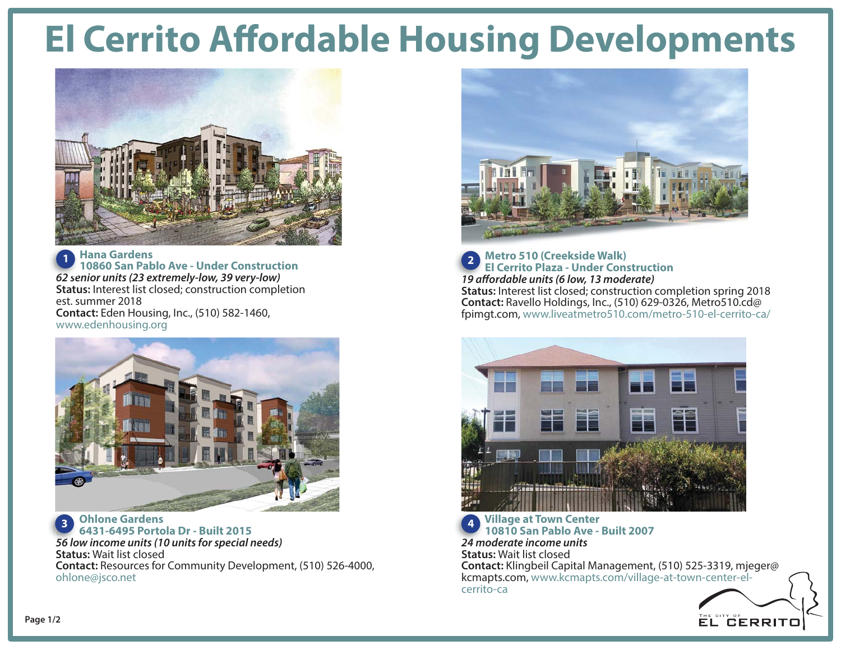## **El Cerrito Affordable Housing Developments**



 **Hana Gardens 10860 San Pablo Ave - Under Construction62 senior units (23 extremely-low, 39 very-low) 62Status:** Interest list closed; construction completion est. summer 2018 **Contact:** Eden Housing, Inc., (510) 582-1460, www.edenhousing.org **1**



 **Ohlone Gardens 6431-6495 Portola Dr - Built 201556 low income units (10 units for special needs) 56 l Status:** Wait list closed **Contact:** Resources for Community Development, (510) 526-4000, ohlone@jsco.net **3**



 **Metro 510 (Creekside Walk) El Cerrito Plaza - Under Construction 19 affordable units (6 low, 13 moderate) 19ffStatus:** Interest list closed; construction completion spring 2018 **Contact:** Ravello Holdings, Inc., (510) 629-0326, Metro510.cd@ fpimgt.com, www.liveatmetro510.com/metro-510-el-cerrito-ca/ **2**



 **10810 San Pablo Ave - Built 200724 moderate income units24Status:** Wait list closed **Contact:** Klingbeil Capital Management, (510) 525-3319, mjeger@ kcmapts.com, www.kcmapts.com/village-at-town-center-elcerrito-ca**4**

**EL CERRITO**